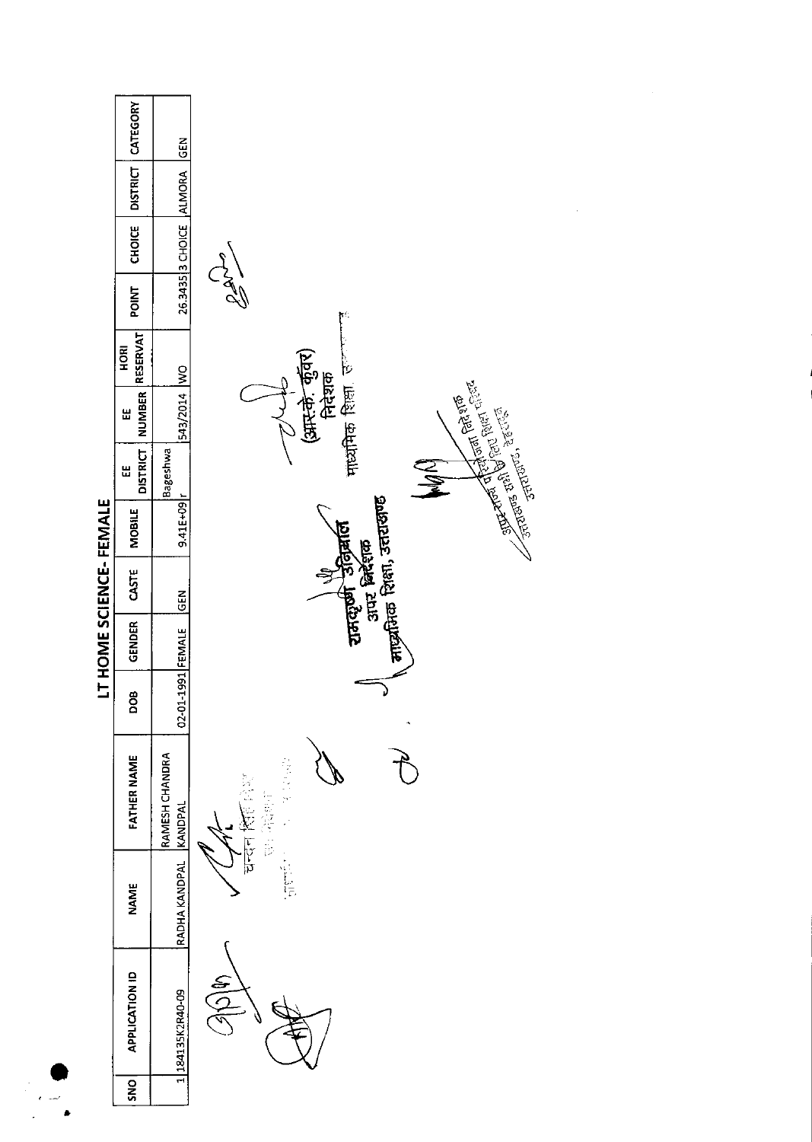| LT HOME SCIENCE-FEMALE | CATEGORY<br>DISTRICT<br><b>CHOICE</b> | GEN<br>ALMORA             |                                                                                                                        |
|------------------------|---------------------------------------|---------------------------|------------------------------------------------------------------------------------------------------------------------|
|                        | POINT                                 | 26.3435 3 CHOICE          | SAL<br>$\mathfrak{p}^{\mathbb{N}}$                                                                                     |
|                        | RESERVAT<br>HORI                      |                           |                                                                                                                        |
|                        | <b>NUMBER</b><br>Ш                    | DW   4102/545             | ⁄<br>(अस.के. कुँवर)<br>निदेशक<br>माध्यमिक शिला, उ <sup>ल</sup>                                                         |
|                        | <b>DISTRICT</b><br>Ш                  | Bageshwa                  | <b>MAN</b>                                                                                                             |
|                        | <b>MOBILE</b>                         | $9.41E + 09r$             | <b>Example of the policy of the first of the Second Second Second Second Second Second Second Second Second Second</b> |
|                        | CASTE                                 | <b>GEN</b>                | माद्र्यतिक शिक्षा, उत्तराखण्ड<br>राजताणी अनिक्राल<br>उत्तर निर्धाण                                                     |
|                        | GENDER                                |                           |                                                                                                                        |
|                        | <b>BOD</b>                            | 02-01-1991 FEMALE         |                                                                                                                        |
|                        | <b>FATHER NAME</b>                    | RAMESH CHANDRA<br>KANDPAL | 花のちござ<br>医鼻管膜                                                                                                          |
|                        | <b>NAME</b>                           | RADHA KANDPAL             | पन्दन्<br><b>Election</b>                                                                                              |
|                        | <b>APPLICATION ID</b>                 | 184135K2R40-09            | ⋚<br>$\widetilde{\Sigma}$                                                                                              |
|                        | <b>SNS</b>                            |                           |                                                                                                                        |